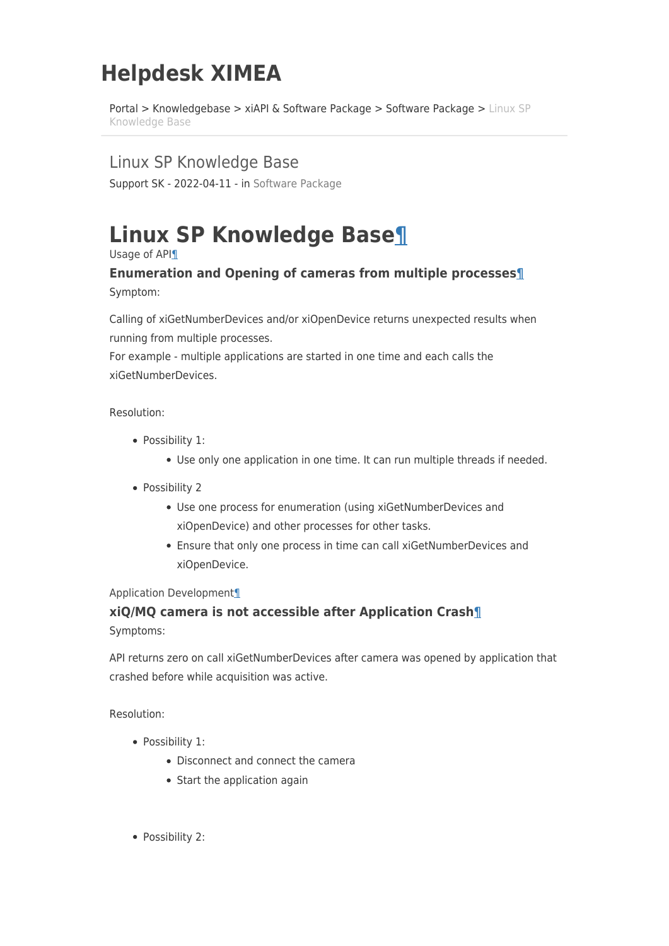# **Helpdesk XIMEA**

[Portal](https://desk.ximea.com/) > [Knowledgebase](https://desk.ximea.com/kb) > [xiAPI & Software Package](https://desk.ximea.com/kb/xiapi-software-package) > [Software Package](https://desk.ximea.com/kb/software-package) > [Linux SP](https://desk.ximea.com/kb/articles/linux-sp-knowledge-base) [Knowledge Base](https://desk.ximea.com/kb/articles/linux-sp-knowledge-base)

Linux SP Knowledge Base

Support SK - 2022-04-11 - in [Software Package](https://desk.ximea.com/kb/software-package)

# <span id="page-0-0"></span>**Linux SP Knowledge Base[¶](#page-0-0)**

<span id="page-0-1"></span>Usage of API[¶](#page-0-1)

## <span id="page-0-2"></span>**Enumeration and Opening of cameras from multiple processes[¶](#page-0-2)** Symptom:

Calling of xiGetNumberDevices and/or xiOpenDevice returns unexpected results when running from multiple processes.

For example - multiple applications are started in one time and each calls the xiGetNumberDevices.

Resolution:

- Possibility 1:
	- Use only one application in one time. It can run multiple threads if needed.
- Possibility 2
	- Use one process for enumeration (using xiGetNumberDevices and xiOpenDevice) and other processes for other tasks.
	- Ensure that only one process in time can call xiGetNumberDevices and xiOpenDevice.

### <span id="page-0-3"></span>Application Developmen[t¶](#page-0-3)

## <span id="page-0-4"></span>**xiQ/MQ camera is not accessible after Application Crash[¶](#page-0-4)**

Symptoms:

API returns zero on call xiGetNumberDevices after camera was opened by application that crashed before while acquisition was active.

Resolution:

- Possibility 1:
	- Disconnect and connect the camera
	- Start the application again
- Possibility 2: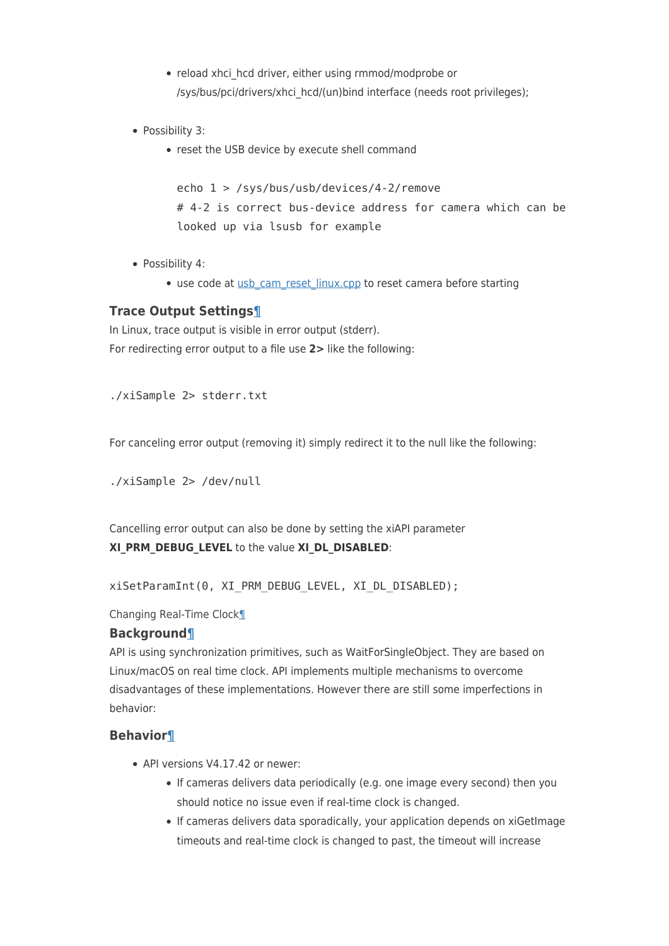- reload xhci hcd driver, either using rmmod/modprobe or /sys/bus/pci/drivers/xhci\_hcd/(un)bind interface (needs root privileges);
- Possibility 3:
	- reset the USB device by execute shell command

echo 1 > /sys/bus/usb/devices/4-2/remove # 4-2 is correct bus-device address for camera which can be looked up via lsusb for example

- Possibility 4:
	- use code at [usb\\_cam\\_reset\\_linux.cpp](https://www.ximea.com/support/attachments/download/1126/usb_cam_reset_linux.cpp) to reset camera before starting

### <span id="page-1-0"></span>**Trace Output Settings[¶](#page-1-0)**

In Linux, trace output is visible in error output (stderr). For redirecting error output to a file use **2>** like the following:

./xiSample 2> stderr.txt

For canceling error output (removing it) simply redirect it to the null like the following:

./xiSample 2> /dev/null

Cancelling error output can also be done by setting the xiAPI parameter **XI\_PRM\_DEBUG\_LEVEL** to the value **XI\_DL\_DISABLED**:

xiSetParamInt(0, XI\_PRM\_DEBUG\_LEVEL, XI\_DL\_DISABLED);

<span id="page-1-1"></span>Changing Real-Time Clock[¶](#page-1-1)

#### <span id="page-1-2"></span>**Background[¶](#page-1-2)**

API is using synchronization primitives, such as WaitForSingleObject. They are based on Linux/macOS on real time clock. API implements multiple mechanisms to overcome disadvantages of these implementations. However there are still some imperfections in behavior:

### <span id="page-1-3"></span>**Behavior[¶](#page-1-3)**

- API versions V4.17.42 or newer:
	- If cameras delivers data periodically (e.g. one image every second) then you should notice no issue even if real-time clock is changed.
	- If cameras delivers data sporadically, your application depends on xiGetImage timeouts and real-time clock is changed to past, the timeout will increase